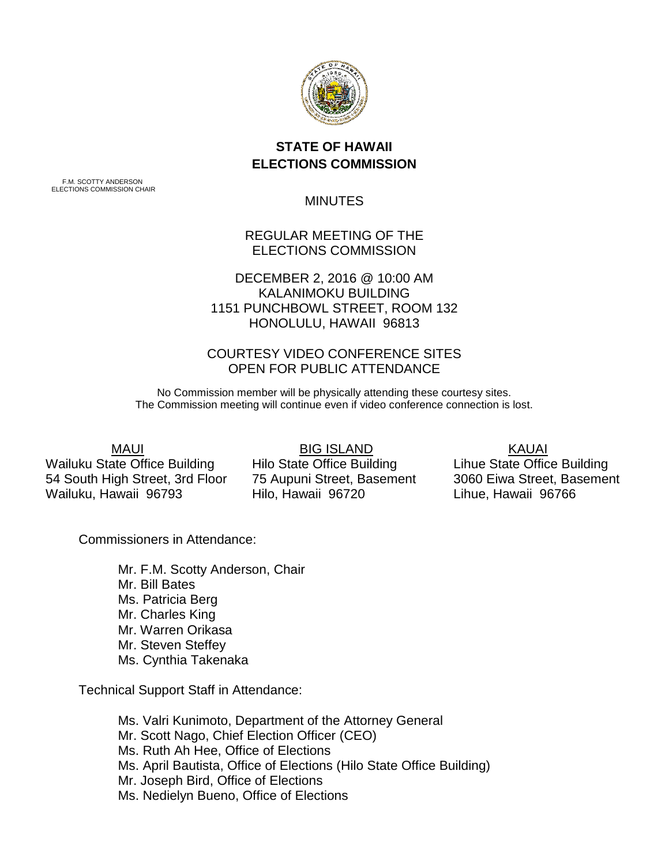

## **STATE OF HAWAII ELECTIONS COMMISSION**

F.M. SCOTTY ANDERSON ELECTIONS COMMISSION CHAIR

MINUTES

## REGULAR MEETING OF THE ELECTIONS COMMISSION

DECEMBER 2, 2016 @ 10:00 AM KALANIMOKU BUILDING 1151 PUNCHBOWL STREET, ROOM 132 HONOLULU, HAWAII 96813

## COURTESY VIDEO CONFERENCE SITES OPEN FOR PUBLIC ATTENDANCE

No Commission member will be physically attending these courtesy sites. The Commission meeting will continue even if video conference connection is lost.

MAUI

Wailuku State Office Building 54 South High Street, 3rd Floor Wailuku, Hawaii 96793

 BIG ISLAND Hilo State Office Building 75 Aupuni Street, Basement Hilo, Hawaii 96720

 KAUAI Lihue State Office Building 3060 Eiwa Street, Basement Lihue, Hawaii 96766

Commissioners in Attendance:

Mr. F.M. Scotty Anderson, Chair Mr. Bill Bates Ms. Patricia Berg Mr. Charles King Mr. Warren Orikasa Mr. Steven Steffey Ms. Cynthia Takenaka

Technical Support Staff in Attendance:

Ms. Valri Kunimoto, Department of the Attorney General Mr. Scott Nago, Chief Election Officer (CEO) Ms. Ruth Ah Hee, Office of Elections Ms. April Bautista, Office of Elections (Hilo State Office Building) Mr. Joseph Bird, Office of Elections Ms. Nedielyn Bueno, Office of Elections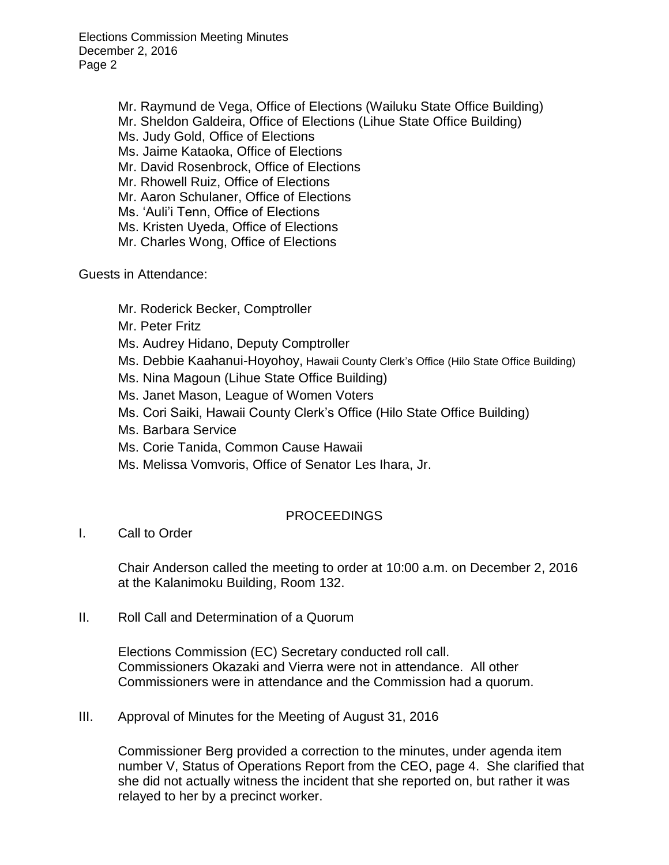Elections Commission Meeting Minutes December 2, 2016 Page 2

> Mr. Raymund de Vega, Office of Elections (Wailuku State Office Building) Mr. Sheldon Galdeira, Office of Elections (Lihue State Office Building)

Ms. Judy Gold, Office of Elections

Ms. Jaime Kataoka, Office of Elections

Mr. David Rosenbrock, Office of Elections

Mr. Rhowell Ruiz, Office of Elections

Mr. Aaron Schulaner, Office of Elections

Ms. 'Auli'i Tenn, Office of Elections

Ms. Kristen Uyeda, Office of Elections

Mr. Charles Wong, Office of Elections

Guests in Attendance:

Mr. Roderick Becker, Comptroller

Mr. Peter Fritz

Ms. Audrey Hidano, Deputy Comptroller

- Ms. Debbie Kaahanui-Hoyohoy, Hawaii County Clerk's Office (Hilo State Office Building)
- Ms. Nina Magoun (Lihue State Office Building)

Ms. Janet Mason, League of Women Voters

Ms. Cori Saiki, Hawaii County Clerk's Office (Hilo State Office Building)

Ms. Barbara Service

Ms. Corie Tanida, Common Cause Hawaii

Ms. Melissa Vomvoris, Office of Senator Les Ihara, Jr.

## PROCEEDINGS

I. Call to Order

Chair Anderson called the meeting to order at 10:00 a.m. on December 2, 2016 at the Kalanimoku Building, Room 132.

II. Roll Call and Determination of a Quorum

Elections Commission (EC) Secretary conducted roll call. Commissioners Okazaki and Vierra were not in attendance. All other Commissioners were in attendance and the Commission had a quorum.

III. Approval of Minutes for the Meeting of August 31, 2016

Commissioner Berg provided a correction to the minutes, under agenda item number V, Status of Operations Report from the CEO, page 4. She clarified that she did not actually witness the incident that she reported on, but rather it was relayed to her by a precinct worker.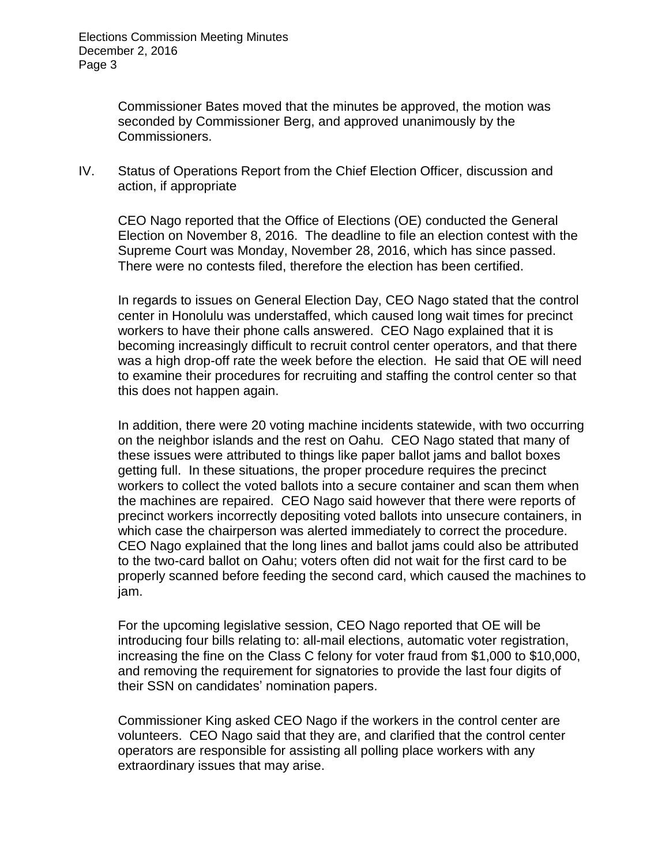Commissioner Bates moved that the minutes be approved, the motion was seconded by Commissioner Berg, and approved unanimously by the Commissioners.

IV. Status of Operations Report from the Chief Election Officer, discussion and action, if appropriate

CEO Nago reported that the Office of Elections (OE) conducted the General Election on November 8, 2016. The deadline to file an election contest with the Supreme Court was Monday, November 28, 2016, which has since passed. There were no contests filed, therefore the election has been certified.

In regards to issues on General Election Day, CEO Nago stated that the control center in Honolulu was understaffed, which caused long wait times for precinct workers to have their phone calls answered. CEO Nago explained that it is becoming increasingly difficult to recruit control center operators, and that there was a high drop-off rate the week before the election. He said that OE will need to examine their procedures for recruiting and staffing the control center so that this does not happen again.

In addition, there were 20 voting machine incidents statewide, with two occurring on the neighbor islands and the rest on Oahu. CEO Nago stated that many of these issues were attributed to things like paper ballot jams and ballot boxes getting full. In these situations, the proper procedure requires the precinct workers to collect the voted ballots into a secure container and scan them when the machines are repaired. CEO Nago said however that there were reports of precinct workers incorrectly depositing voted ballots into unsecure containers, in which case the chairperson was alerted immediately to correct the procedure. CEO Nago explained that the long lines and ballot jams could also be attributed to the two-card ballot on Oahu; voters often did not wait for the first card to be properly scanned before feeding the second card, which caused the machines to jam.

For the upcoming legislative session, CEO Nago reported that OE will be introducing four bills relating to: all-mail elections, automatic voter registration, increasing the fine on the Class C felony for voter fraud from \$1,000 to \$10,000, and removing the requirement for signatories to provide the last four digits of their SSN on candidates' nomination papers.

Commissioner King asked CEO Nago if the workers in the control center are volunteers. CEO Nago said that they are, and clarified that the control center operators are responsible for assisting all polling place workers with any extraordinary issues that may arise.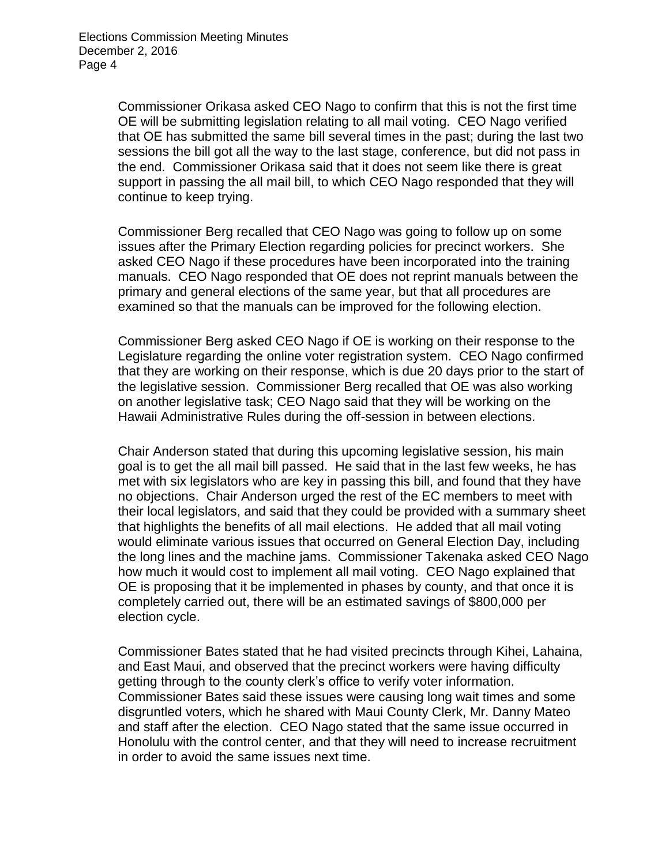Commissioner Orikasa asked CEO Nago to confirm that this is not the first time OE will be submitting legislation relating to all mail voting. CEO Nago verified that OE has submitted the same bill several times in the past; during the last two sessions the bill got all the way to the last stage, conference, but did not pass in the end. Commissioner Orikasa said that it does not seem like there is great support in passing the all mail bill, to which CEO Nago responded that they will continue to keep trying.

Commissioner Berg recalled that CEO Nago was going to follow up on some issues after the Primary Election regarding policies for precinct workers. She asked CEO Nago if these procedures have been incorporated into the training manuals. CEO Nago responded that OE does not reprint manuals between the primary and general elections of the same year, but that all procedures are examined so that the manuals can be improved for the following election.

Commissioner Berg asked CEO Nago if OE is working on their response to the Legislature regarding the online voter registration system. CEO Nago confirmed that they are working on their response, which is due 20 days prior to the start of the legislative session. Commissioner Berg recalled that OE was also working on another legislative task; CEO Nago said that they will be working on the Hawaii Administrative Rules during the off-session in between elections.

Chair Anderson stated that during this upcoming legislative session, his main goal is to get the all mail bill passed. He said that in the last few weeks, he has met with six legislators who are key in passing this bill, and found that they have no objections. Chair Anderson urged the rest of the EC members to meet with their local legislators, and said that they could be provided with a summary sheet that highlights the benefits of all mail elections. He added that all mail voting would eliminate various issues that occurred on General Election Day, including the long lines and the machine jams. Commissioner Takenaka asked CEO Nago how much it would cost to implement all mail voting. CEO Nago explained that OE is proposing that it be implemented in phases by county, and that once it is completely carried out, there will be an estimated savings of \$800,000 per election cycle.

Commissioner Bates stated that he had visited precincts through Kihei, Lahaina, and East Maui, and observed that the precinct workers were having difficulty getting through to the county clerk's office to verify voter information. Commissioner Bates said these issues were causing long wait times and some disgruntled voters, which he shared with Maui County Clerk, Mr. Danny Mateo and staff after the election. CEO Nago stated that the same issue occurred in Honolulu with the control center, and that they will need to increase recruitment in order to avoid the same issues next time.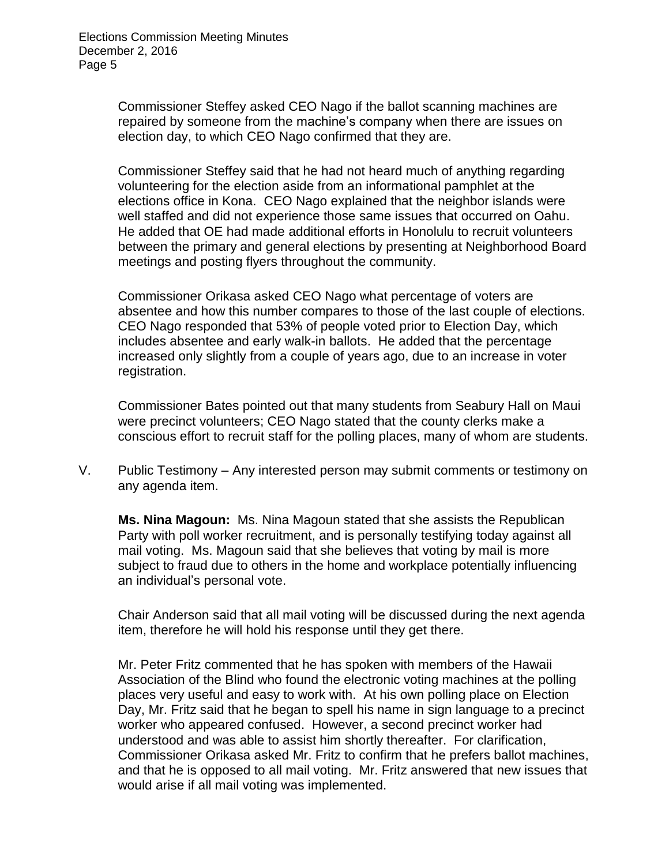Commissioner Steffey asked CEO Nago if the ballot scanning machines are repaired by someone from the machine's company when there are issues on election day, to which CEO Nago confirmed that they are.

Commissioner Steffey said that he had not heard much of anything regarding volunteering for the election aside from an informational pamphlet at the elections office in Kona. CEO Nago explained that the neighbor islands were well staffed and did not experience those same issues that occurred on Oahu. He added that OE had made additional efforts in Honolulu to recruit volunteers between the primary and general elections by presenting at Neighborhood Board meetings and posting flyers throughout the community.

Commissioner Orikasa asked CEO Nago what percentage of voters are absentee and how this number compares to those of the last couple of elections. CEO Nago responded that 53% of people voted prior to Election Day, which includes absentee and early walk-in ballots. He added that the percentage increased only slightly from a couple of years ago, due to an increase in voter registration.

Commissioner Bates pointed out that many students from Seabury Hall on Maui were precinct volunteers; CEO Nago stated that the county clerks make a conscious effort to recruit staff for the polling places, many of whom are students.

V. Public Testimony – Any interested person may submit comments or testimony on any agenda item.

**Ms. Nina Magoun:** Ms. Nina Magoun stated that she assists the Republican Party with poll worker recruitment, and is personally testifying today against all mail voting. Ms. Magoun said that she believes that voting by mail is more subject to fraud due to others in the home and workplace potentially influencing an individual's personal vote.

Chair Anderson said that all mail voting will be discussed during the next agenda item, therefore he will hold his response until they get there.

Mr. Peter Fritz commented that he has spoken with members of the Hawaii Association of the Blind who found the electronic voting machines at the polling places very useful and easy to work with. At his own polling place on Election Day, Mr. Fritz said that he began to spell his name in sign language to a precinct worker who appeared confused. However, a second precinct worker had understood and was able to assist him shortly thereafter. For clarification, Commissioner Orikasa asked Mr. Fritz to confirm that he prefers ballot machines, and that he is opposed to all mail voting. Mr. Fritz answered that new issues that would arise if all mail voting was implemented.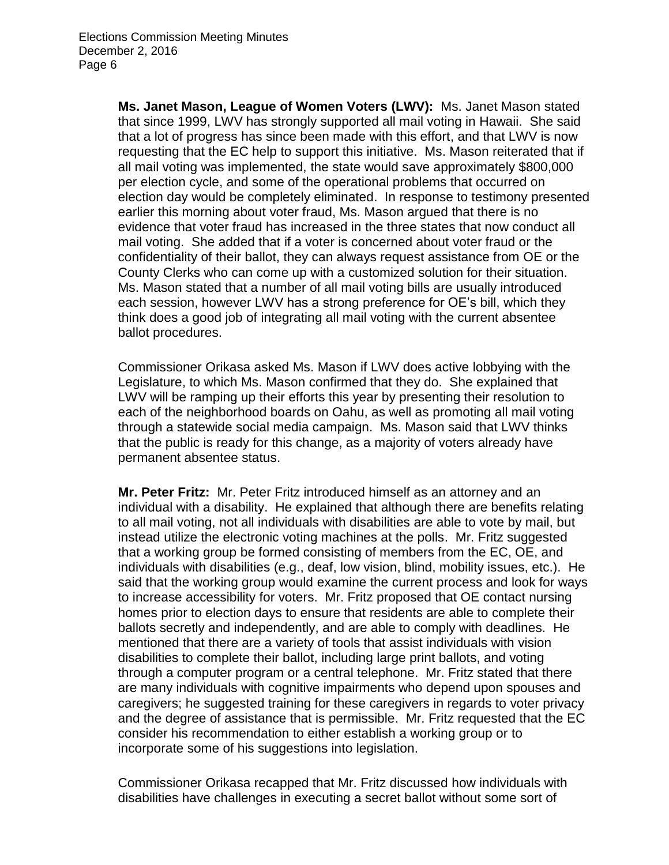**Ms. Janet Mason, League of Women Voters (LWV):** Ms. Janet Mason stated that since 1999, LWV has strongly supported all mail voting in Hawaii. She said that a lot of progress has since been made with this effort, and that LWV is now requesting that the EC help to support this initiative. Ms. Mason reiterated that if all mail voting was implemented, the state would save approximately \$800,000 per election cycle, and some of the operational problems that occurred on election day would be completely eliminated. In response to testimony presented earlier this morning about voter fraud, Ms. Mason argued that there is no evidence that voter fraud has increased in the three states that now conduct all mail voting. She added that if a voter is concerned about voter fraud or the confidentiality of their ballot, they can always request assistance from OE or the County Clerks who can come up with a customized solution for their situation. Ms. Mason stated that a number of all mail voting bills are usually introduced each session, however LWV has a strong preference for OE's bill, which they think does a good job of integrating all mail voting with the current absentee ballot procedures.

Commissioner Orikasa asked Ms. Mason if LWV does active lobbying with the Legislature, to which Ms. Mason confirmed that they do. She explained that LWV will be ramping up their efforts this year by presenting their resolution to each of the neighborhood boards on Oahu, as well as promoting all mail voting through a statewide social media campaign. Ms. Mason said that LWV thinks that the public is ready for this change, as a majority of voters already have permanent absentee status.

**Mr. Peter Fritz:** Mr. Peter Fritz introduced himself as an attorney and an individual with a disability. He explained that although there are benefits relating to all mail voting, not all individuals with disabilities are able to vote by mail, but instead utilize the electronic voting machines at the polls. Mr. Fritz suggested that a working group be formed consisting of members from the EC, OE, and individuals with disabilities (e.g., deaf, low vision, blind, mobility issues, etc.). He said that the working group would examine the current process and look for ways to increase accessibility for voters. Mr. Fritz proposed that OE contact nursing homes prior to election days to ensure that residents are able to complete their ballots secretly and independently, and are able to comply with deadlines. He mentioned that there are a variety of tools that assist individuals with vision disabilities to complete their ballot, including large print ballots, and voting through a computer program or a central telephone. Mr. Fritz stated that there are many individuals with cognitive impairments who depend upon spouses and caregivers; he suggested training for these caregivers in regards to voter privacy and the degree of assistance that is permissible. Mr. Fritz requested that the EC consider his recommendation to either establish a working group or to incorporate some of his suggestions into legislation.

Commissioner Orikasa recapped that Mr. Fritz discussed how individuals with disabilities have challenges in executing a secret ballot without some sort of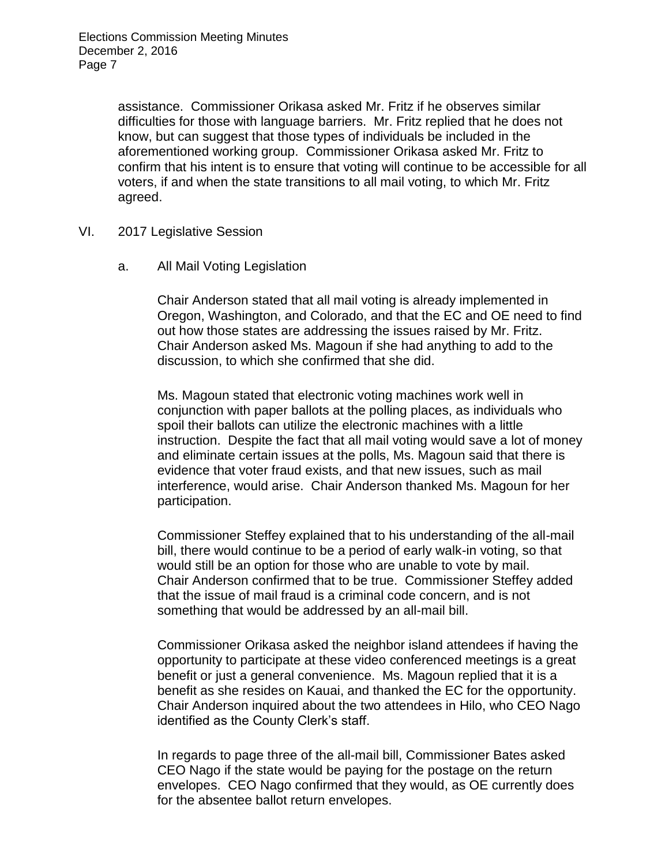assistance. Commissioner Orikasa asked Mr. Fritz if he observes similar difficulties for those with language barriers. Mr. Fritz replied that he does not know, but can suggest that those types of individuals be included in the aforementioned working group. Commissioner Orikasa asked Mr. Fritz to confirm that his intent is to ensure that voting will continue to be accessible for all voters, if and when the state transitions to all mail voting, to which Mr. Fritz agreed.

- VI. 2017 Legislative Session
	- a. All Mail Voting Legislation

Chair Anderson stated that all mail voting is already implemented in Oregon, Washington, and Colorado, and that the EC and OE need to find out how those states are addressing the issues raised by Mr. Fritz. Chair Anderson asked Ms. Magoun if she had anything to add to the discussion, to which she confirmed that she did.

Ms. Magoun stated that electronic voting machines work well in conjunction with paper ballots at the polling places, as individuals who spoil their ballots can utilize the electronic machines with a little instruction. Despite the fact that all mail voting would save a lot of money and eliminate certain issues at the polls, Ms. Magoun said that there is evidence that voter fraud exists, and that new issues, such as mail interference, would arise. Chair Anderson thanked Ms. Magoun for her participation.

Commissioner Steffey explained that to his understanding of the all-mail bill, there would continue to be a period of early walk-in voting, so that would still be an option for those who are unable to vote by mail. Chair Anderson confirmed that to be true. Commissioner Steffey added that the issue of mail fraud is a criminal code concern, and is not something that would be addressed by an all-mail bill.

Commissioner Orikasa asked the neighbor island attendees if having the opportunity to participate at these video conferenced meetings is a great benefit or just a general convenience. Ms. Magoun replied that it is a benefit as she resides on Kauai, and thanked the EC for the opportunity. Chair Anderson inquired about the two attendees in Hilo, who CEO Nago identified as the County Clerk's staff.

In regards to page three of the all-mail bill, Commissioner Bates asked CEO Nago if the state would be paying for the postage on the return envelopes. CEO Nago confirmed that they would, as OE currently does for the absentee ballot return envelopes.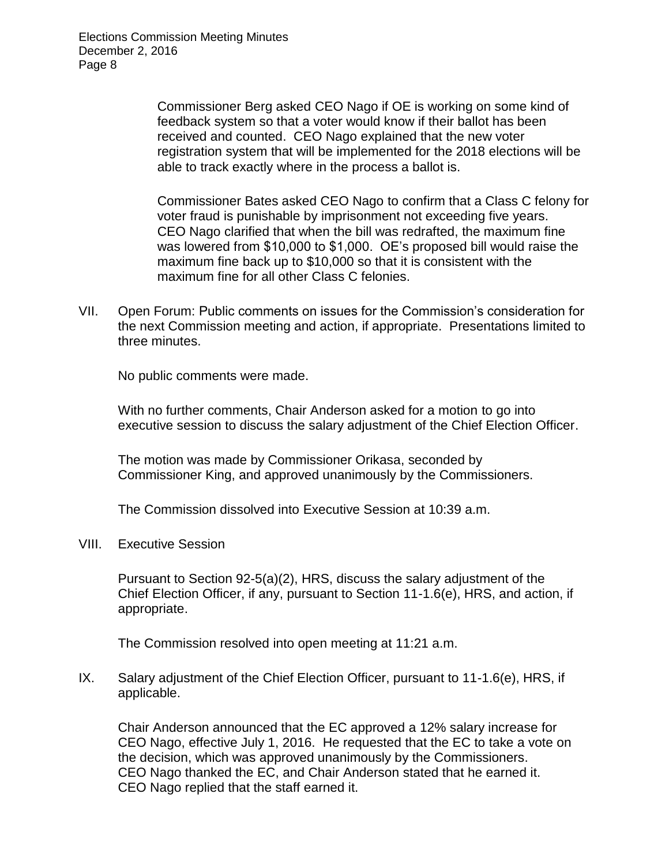Elections Commission Meeting Minutes December 2, 2016 Page 8

> Commissioner Berg asked CEO Nago if OE is working on some kind of feedback system so that a voter would know if their ballot has been received and counted. CEO Nago explained that the new voter registration system that will be implemented for the 2018 elections will be able to track exactly where in the process a ballot is.

Commissioner Bates asked CEO Nago to confirm that a Class C felony for voter fraud is punishable by imprisonment not exceeding five years. CEO Nago clarified that when the bill was redrafted, the maximum fine was lowered from \$10,000 to \$1,000. OE's proposed bill would raise the maximum fine back up to \$10,000 so that it is consistent with the maximum fine for all other Class C felonies.

VII. Open Forum: Public comments on issues for the Commission's consideration for the next Commission meeting and action, if appropriate. Presentations limited to three minutes.

No public comments were made.

With no further comments, Chair Anderson asked for a motion to go into executive session to discuss the salary adjustment of the Chief Election Officer.

The motion was made by Commissioner Orikasa, seconded by Commissioner King, and approved unanimously by the Commissioners.

The Commission dissolved into Executive Session at 10:39 a.m.

VIII. Executive Session

Pursuant to Section 92-5(a)(2), HRS, discuss the salary adjustment of the Chief Election Officer, if any, pursuant to Section 11-1.6(e), HRS, and action, if appropriate.

The Commission resolved into open meeting at 11:21 a.m.

IX. Salary adjustment of the Chief Election Officer, pursuant to 11-1.6(e), HRS, if applicable.

Chair Anderson announced that the EC approved a 12% salary increase for CEO Nago, effective July 1, 2016. He requested that the EC to take a vote on the decision, which was approved unanimously by the Commissioners. CEO Nago thanked the EC, and Chair Anderson stated that he earned it. CEO Nago replied that the staff earned it.